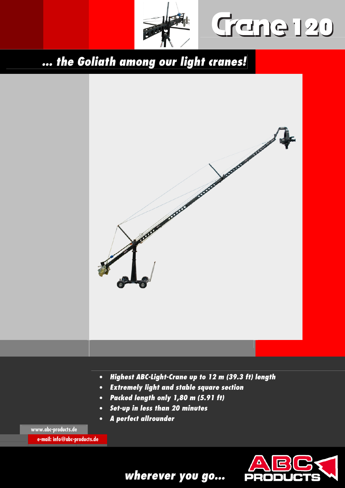

Gane 120

**... the Goliath among our light cranes!** 



**e-mail: info@abc-products.de** 



**wherever you go...**